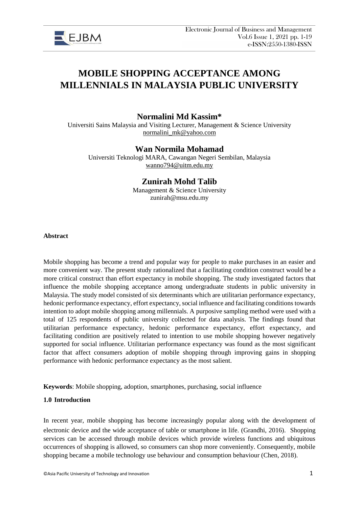

# **MOBILE SHOPPING ACCEPTANCE AMONG MILLENNIALS IN MALAYSIA PUBLIC UNIVERSITY**

**Normalini Md Kassim\***

Universiti Sains Malaysia and Visiting Lecturer, Management & Science University [normalini\\_mk@yahoo.com](mailto:normalini_mk@yahoo.com)

# **Wan Normila Mohamad**

Universiti Teknologi MARA, Cawangan Negeri Sembilan, Malaysia [wanno794@uitm.edu.my](mailto:wanno794@uitm.edu.my)

# **Zunirah Mohd Talib**

Management & Science University zunirah@msu.edu.my

**Abstract**

Mobile shopping has become a trend and popular way for people to make purchases in an easier and more convenient way. The present study rationalized that a facilitating condition construct would be a more critical construct than effort expectancy in mobile shopping. The study investigated factors that influence the mobile shopping acceptance among undergraduate students in public university in Malaysia. The study model consisted of six determinants which are utilitarian performance expectancy, hedonic performance expectancy, effort expectancy, social influence and facilitating conditions towards intention to adopt mobile shopping among millennials. A purposive sampling method were used with a total of 125 respondents of public university collected for data analysis. The findings found that utilitarian performance expectancy, hedonic performance expectancy, effort expectancy, and facilitating condition are positively related to intention to use mobile shopping however negatively supported for social influence. Utilitarian performance expectancy was found as the most significant factor that affect consumers adoption of mobile shopping through improving gains in shopping performance with hedonic performance expectancy as the most salient.

**Keywords**: Mobile shopping, adoption, smartphones, purchasing, social influence

## **1.0 Introduction**

In recent year, mobile shopping has become increasingly popular along with the development of electronic device and the wide acceptance of table or smartphone in life. (Grandhi, 2016). Shopping services can be accessed through mobile devices which provide wireless functions and ubiquitous occurrences of shopping is allowed, so consumers can shop more conveniently. Consequently, mobile shopping became a mobile technology use behaviour and consumption behaviour (Chen, 2018).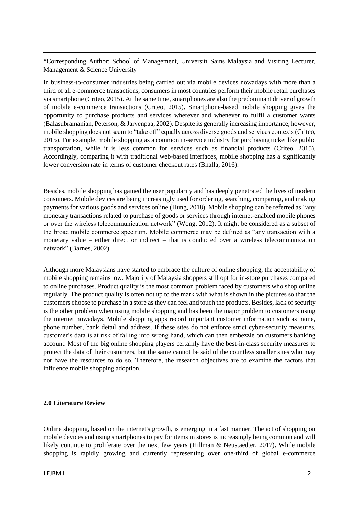\*Corresponding Author: School of Management, Universiti Sains Malaysia and Visiting Lecturer, Management & Science University

In business-to-consumer industries being carried out via mobile devices nowadays with more than a third of all e-commerce transactions, consumers in most countries perform their mobile retail purchases via smartphone (Criteo, 2015). At the same time, smartphones are also the predominant driver of growth of mobile e-commerce transactions (Criteo, 2015). Smartphone-based mobile shopping gives the opportunity to purchase products and services wherever and whenever to fulfil a customer wants (Balasubramanian, Peterson, & Jarvenpaa, 2002). Despite its generally increasing importance, however, mobile shopping does not seem to "take off" equally across diverse goods and services contexts (Criteo, 2015). For example, mobile shopping as a common in-service industry for purchasing ticket like public transportation, while it is less common for services such as financial products (Criteo, 2015). Accordingly, comparing it with traditional web-based interfaces, mobile shopping has a significantly lower conversion rate in terms of customer checkout rates (Bhalla, 2016).

Besides, mobile shopping has gained the user popularity and has deeply penetrated the lives of modern consumers. Mobile devices are being increasingly used for ordering, searching, comparing, and making payments for various goods and services online (Hung, 2018). Mobile shopping can be referred as "any monetary transactions related to purchase of goods or services through internet-enabled mobile phones or over the wireless telecommunication network" (Wong, 2012). It might be considered as a subset of the broad mobile commerce spectrum. Mobile commerce may be defined as "any transaction with a monetary value – either direct or indirect – that is conducted over a wireless telecommunication network" (Barnes, 2002).

Although more Malaysians have started to embrace the culture of online shopping, the acceptability of mobile shopping remains low. Majority of Malaysia shoppers still opt for in-store purchases compared to online purchases. Product quality is the most common problem faced by customers who shop online regularly. The product quality is often not up to the mark with what is shown in the pictures so that the customers choose to purchase in a store as they can feel and touch the products. Besides, lack of security is the other problem when using mobile shopping and has been the major problem to customers using the internet nowadays. Mobile shopping apps record important customer information such as name, phone number, bank detail and address. If these sites do not enforce strict cyber-security measures, customer's data is at risk of falling into wrong hand, which can then embezzle on customers banking account. Most of the big online shopping players certainly have the best-in-class security measures to protect the data of their customers, but the same cannot be said of the countless smaller sites who may not have the resources to do so. Therefore, the research objectives are to examine the factors that influence mobile shopping adoption.

#### **2.0 Literature Review**

Online shopping, based on the internet's growth, is emerging in a fast manner. The act of shopping on mobile devices and using smartphones to pay for items in stores is increasingly being common and will likely continue to proliferate over the next few years (Hillman & Neustaedter, 2017). While mobile shopping is rapidly growing and currently representing over one-third of global e-commerce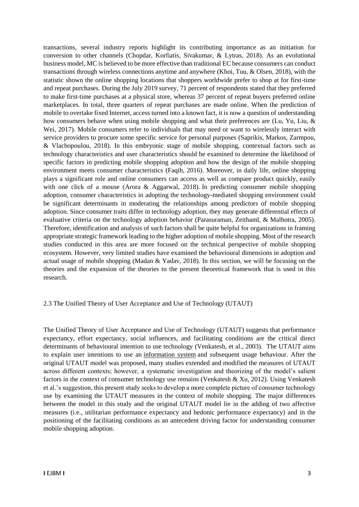transactions, several industry reports highlight its contributing importance as an initiation for conversion to other channels (Chopdar, Korfiatis, Sivakumar, & Lytras, 2018). As an evolutional business model, MC is believed to be more effective than traditional EC because consumers can conduct transactions through wireless connections anytime and anywhere (Khoi, Tuu, & Olsen, 2018), with the statistic shown the online shopping locations that shoppers worldwide prefer to shop at for first-time and repeat purchases. During the July 2019 survey, 71 percent of respondents stated that they preferred to make first-time purchases at a physical store, whereas 37 percent of repeat buyers preferred online marketplaces. In total, three quarters of repeat purchases are made online. When the prediction of mobile to overtake fixed Internet, access turned into a known fact, it is now a question of understanding how consumers behave when using mobile shopping and what their preferences are (Lu, Yu, Liu, & Wei, 2017). Mobile consumers refer to individuals that may need or want to wirelessly interact with service providers to procure some specific service for personal purposes (Saprikis, Markos, Zarmpou, & Vlachopoulou, 2018). In this embryonic stage of mobile shopping, contextual factors such as technology characteristics and user characteristics should be examined to determine the likelihood of specific factors in predicting mobile shopping adoption and how the design of the mobile shopping environment meets consumer characteristics (Faqih, 2016). Moreover, in daily life, online shopping plays a significant role and online consumers can access as well as compare product quickly, easily with one click of a mouse (Arora & Aggarwal, 2018). In predicting consumer mobile shopping adoption, consumer characteristics in adopting the technology-mediated shopping environment could be significant determinants in moderating the relationships among predictors of mobile shopping adoption. Since consumer traits differ in technology adoption, they may generate differential effects of evaluative criteria on the technology adoption behavior (Parasuraman, Zeithaml, & Malhotra, 2005). Therefore, identification and analysis of such factors shall be quite helpful for organizations in framing appropriate strategic framework leading to the higher adoption of mobile shopping. Most of the research studies conducted in this area are more focused on the technical perspective of mobile shopping ecosystem. However, very limited studies have examined the behavioural dimensions in adoption and actual usage of mobile shopping (Madan & Yadav, 2018). In this section, we will be focusing on the theories and the expansion of the theories to the present theoretical framework that is used in this research.

#### 2.3 The Unified Theory of User Acceptance and Use of Technology (UTAUT)

The Unified Theory of User Acceptance and Use of Technology (UTAUT) suggests that performance expectancy, effort expectancy, social influences, and facilitating conditions are the critical direct determinants of behavioural intention to use technology (Venkatesh, et al., 2003). The UTAUT aims to explain user intentions to use an [information system](https://en.wikipedia.org/wiki/Information_systems) and subsequent usage behaviour. After the original UTAUT model was proposed, many studies extended and modified the measures of UTAUT across different contexts; however, a systematic investigation and theorizing of the model's salient factors in the context of consumer technology use remains (Venkatesh & Xu, 2012). Using Venkatesh et al.'s suggestion, this present study seeks to develop a more complete picture of consumer technology use by examining the UTAUT measures in the context of mobile shopping. The major differences between the model in this study and the original UTAUT model lie in the adding of two affective measures (i.e., utilitarian performance expectancy and hedonic performance expectancy) and in the positioning of the facilitating conditions as an antecedent driving factor for understanding consumer mobile shopping adoption.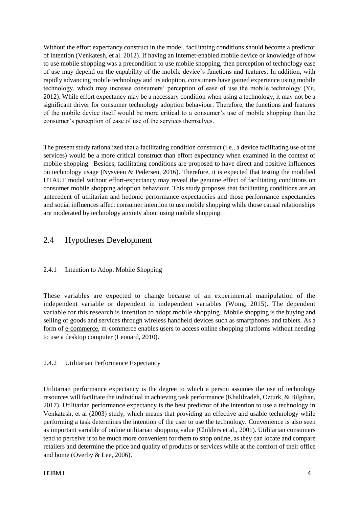Without the effort expectancy construct in the model, facilitating conditions should become a predictor of intention (Venkatesh, et al. 2012). If having an Internet-enabled mobile device or knowledge of how to use mobile shopping was a precondition to use mobile shopping, then perception of technology ease of use may depend on the capability of the mobile device's functions and features. In addition, with rapidly advancing mobile technology and its adoption, consumers have gained experience using mobile technology, which may increase consumers' perception of ease of use the mobile technology (Yu, 2012). While effort expectancy may be a necessary condition when using a technology, it may not be a significant driver for consumer technology adoption behaviour. Therefore, the functions and features of the mobile device itself would be more critical to a consumer's use of mobile shopping than the consumer's perception of ease of use of the services themselves.

The present study rationalized that a facilitating condition construct (i.e., a device facilitating use of the services) would be a more critical construct than effort expectancy when examined in the context of mobile shopping. Besides, facilitating conditions are proposed to have direct and positive influences on technology usage (Nysveen & Pedersen, 2016). Therefore, it is expected that testing the modified UTAUT model without effort-expectancy may reveal the genuine effect of facilitating conditions on consumer mobile shopping adoption behaviour. This study proposes that facilitating conditions are an antecedent of utilitarian and hedonic performance expectancies and those performance expectancies and social influences affect consumer intention to use mobile shopping while those causal relationships are moderated by technology anxiety about using mobile shopping.

# 2.4 Hypotheses Development

# 2.4.1 Intention to Adopt Mobile Shopping

These variables are expected to change because of an experimental manipulation of the independent variable or dependent in independent variables (Wong, 2015). The dependent variable for this research is intention to adopt mobile shopping. Mobile shopping is the buying and selling of goods and services through wireless handheld devices such as smartphones and tablets. As a form of [e-commerce,](https://searchcio.techtarget.com/definition/e-commerce) m-commerce enables users to access online shopping platforms without needing to use a desktop computer (Leonard, 2010).

# 2.4.2 Utilitarian Performance Expectancy

Utilitarian performance expectancy is the degree to which a person assumes the use of technology resources will facilitate the individual in achieving task performance (Khalilzadeh, Ozturk, & Bilgihan, 2017). Utilitarian performance expectancy is the best predictor of the intention to use a technology in Venkatesh, et al (2003) study, which means that providing an effective and usable technology while performing a task determines the intention of the user to use the technology. Convenience is also seen as important variable of online utilitarian shopping value (Childers et al., 2001). Utilitarian consumers tend to perceive it to be much more convenient for them to shop online, as they can locate and compare retailers and determine the price and quality of products or services while at the comfort of their office and home (Overby & Lee, 2006).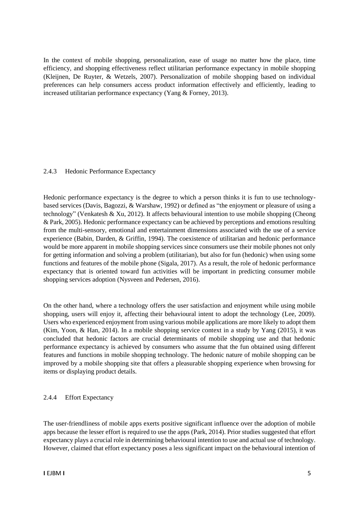In the context of mobile shopping, personalization, ease of usage no matter how the place, time efficiency, and shopping effectiveness reflect utilitarian performance expectancy in mobile shopping (Kleijnen, De Ruyter, & Wetzels, 2007). Personalization of mobile shopping based on individual preferences can help consumers access product information effectively and efficiently, leading to increased utilitarian performance expectancy (Yang & Forney, 2013).

#### 2.4.3 Hedonic Performance Expectancy

Hedonic performance expectancy is the degree to which a person thinks it is fun to use technologybased services (Davis, Bagozzi, & Warshaw, 1992) or defined as "the enjoyment or pleasure of using a technology" (Venkatesh & Xu, 2012). It affects behavioural intention to use mobile shopping (Cheong & Park, 2005). Hedonic performance expectancy can be achieved by perceptions and emotions resulting from the multi-sensory, emotional and entertainment dimensions associated with the use of a service experience (Babin, Darden, & Griffin, 1994). The coexistence of utilitarian and hedonic performance would be more apparent in mobile shopping services since consumers use their mobile phones not only for getting information and solving a problem (utilitarian), but also for fun (hedonic) when using some functions and features of the mobile phone (Sigala, 2017). As a result, the role of hedonic performance expectancy that is oriented toward fun activities will be important in predicting consumer mobile shopping services adoption (Nysveen and Pedersen, 2016).

On the other hand, where a technology offers the user satisfaction and enjoyment while using mobile shopping, users will enjoy it, affecting their behavioural intent to adopt the technology (Lee, 2009). Users who experienced enjoyment from using various mobile applications are more likely to adopt them (Kim, Yoon, & Han, 2014). In a mobile shopping service context in a study by Yang (2015), it was concluded that hedonic factors are crucial determinants of mobile shopping use and that hedonic performance expectancy is achieved by consumers who assume that the fun obtained using different features and functions in mobile shopping technology. The hedonic nature of mobile shopping can be improved by a mobile shopping site that offers a pleasurable shopping experience when browsing for items or displaying product details.

# 2.4.4 Effort Expectancy

The user-friendliness of mobile apps exerts positive significant influence over the adoption of mobile apps because the lesser effort is required to use the apps (Park, 2014). Prior studies suggested that effort expectancy plays a crucial role in determining behavioural intention to use and actual use of technology. However, claimed that effort expectancy poses a less significant impact on the behavioural intention of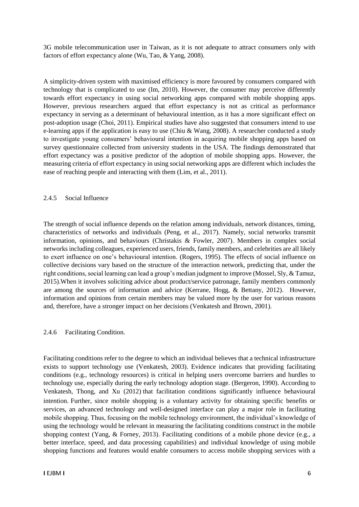3G mobile telecommunication user in Taiwan, as it is not adequate to attract consumers only with factors of effort expectancy alone (Wu, Tao, & Yang, 2008).

A simplicity-driven system with maximised efficiency is more favoured by consumers compared with technology that is complicated to use (Im, 2010). However, the consumer may perceive differently towards effort expectancy in using social networking apps compared with mobile shopping apps. However, previous researchers argued that effort expectancy is not as critical as performance expectancy in serving as a determinant of behavioural intention, as it has a more significant effect on post-adoption usage (Choi, 2011). Empirical studies have also suggested that consumers intend to use e-learning apps if the application is easy to use (Chiu & Wang, 2008). A researcher conducted a study to investigate young consumers' behavioural intention in acquiring mobile shopping apps based on survey questionnaire collected from university students in the USA. The findings demonstrated that effort expectancy was a positive predictor of the adoption of mobile shopping apps. However, the measuring criteria of effort expectancy in using social networking apps are different which includes the ease of reaching people and interacting with them (Lim, et al., 2011).

#### 2.4.5 Social Influence

The strength of social influence depends on the relation among individuals, network distances, timing, characteristics of networks and individuals (Peng, et al., 2017). Namely, social networks transmit information, opinions, and behaviours (Christakis & Fowler, 2007). Members in complex social networks including colleagues, experienced users, friends, family members, and celebrities are all likely to exert influence on one's behavioural intention. (Rogers, 1995). The effects of social influence on collective decisions vary based on the structure of the interaction network, predicting that, under the right conditions, social learning can lead a group's median judgment to improve (Mossel, Sly, & Tamuz, 2015).When it involves soliciting advice about product/service patronage, family members commonly are among the sources of information and advice (Kerrane, Hogg, & Bettany, 2012). However, information and opinions from certain members may be valued more by the user for various reasons and, therefore, have a stronger impact on her decisions (Venkatesh and Brown, 2001).

#### 2.4.6 Facilitating Condition.

Facilitating conditions refer to the degree to which an individual believes that a technical infrastructure exists to support technology use (Venkatesh, 2003). Evidence indicates that providing facilitating conditions (e.g., technology resources) is critical in helping users overcome barriers and hurdles to technology use, especially during the early technology adoption stage. (Bergeron, 1990). According to Venkatesh, Thong, and Xu (2012) that facilitation conditions significantly influence behavioural intention. Further, since mobile shopping is a voluntary activity for obtaining specific benefits or services, an advanced technology and well-designed interface can play a major role in facilitating mobile shopping. Thus, focusing on the mobile technology environment, the individual's knowledge of using the technology would be relevant in measuring the facilitating conditions construct in the mobile shopping context (Yang, & Forney, 2013). Facilitating conditions of a mobile phone device (e.g., a better interface, speed, and data processing capabilities) and individual knowledge of using mobile shopping functions and features would enable consumers to access mobile shopping services with a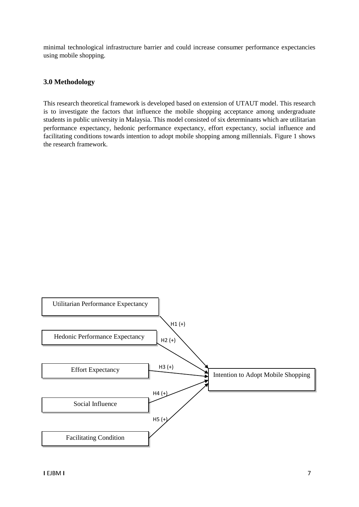minimal technological infrastructure barrier and could increase consumer performance expectancies using mobile shopping.

# **3.0 Methodology**

This research theoretical framework is developed based on extension of UTAUT model. This research is to investigate the factors that influence the mobile shopping acceptance among undergraduate students in public university in Malaysia. This model consisted of six determinants which are utilitarian performance expectancy, hedonic performance expectancy, effort expectancy, social influence and facilitating conditions towards intention to adopt mobile shopping among millennials. Figure 1 shows the research framework.

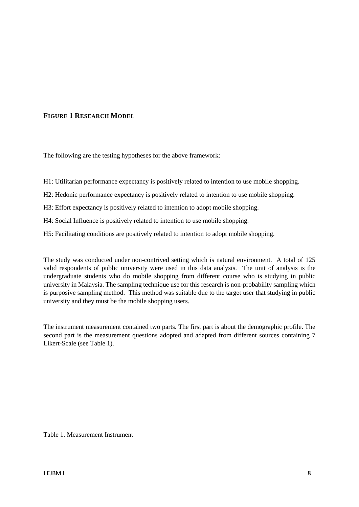# **FIGURE 1 RESEARCH MODEL**

The following are the testing hypotheses for the above framework:

- H1: Utilitarian performance expectancy is positively related to intention to use mobile shopping.
- H2: Hedonic performance expectancy is positively related to intention to use mobile shopping.
- H3: Effort expectancy is positively related to intention to adopt mobile shopping.
- H4: Social Influence is positively related to intention to use mobile shopping.
- H5: Facilitating conditions are positively related to intention to adopt mobile shopping.

The study was conducted under non-contrived setting which is natural environment. A total of 125 valid respondents of public university were used in this data analysis. The unit of analysis is the undergraduate students who do mobile shopping from different course who is studying in public university in Malaysia. The sampling technique use for this research is non-probability sampling which is purposive sampling method. This method was suitable due to the target user that studying in public university and they must be the mobile shopping users.

The instrument measurement contained two parts. The first part is about the demographic profile. The second part is the measurement questions adopted and adapted from different sources containing 7 Likert-Scale (see Table 1).

Table 1. Measurement Instrument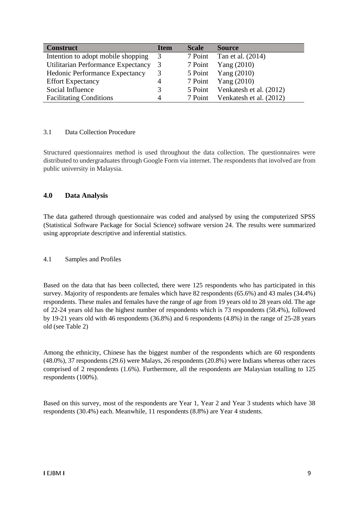| <b>Construct</b>                      | <b>Item</b> | <b>Scale</b> | <b>Source</b>           |
|---------------------------------------|-------------|--------------|-------------------------|
| Intention to adopt mobile shopping    | - 3         | 7 Point      | Tan et al. (2014)       |
| Utilitarian Performance Expectancy    | 3           | 7 Point      | Yang $(2010)$           |
| <b>Hedonic Performance Expectancy</b> |             | 5 Point      | Yang (2010)             |
| <b>Effort Expectancy</b>              | 4           | 7 Point      | Yang $(2010)$           |
| Social Influence                      |             | 5 Point      | Venkatesh et al. (2012) |
| <b>Facilitating Conditions</b>        | 4           | 7 Point      | Venkatesh et al. (2012) |

#### 3.1 Data Collection Procedure

Structured questionnaires method is used throughout the data collection. The questionnaires were distributed to undergraduates through Google Form via internet. The respondents that involved are from public university in Malaysia.

# **4.0 Data Analysis**

The data gathered through questionnaire was coded and analysed by using the computerized SPSS (Statistical Software Package for Social Science) software version 24. The results were summarized using appropriate descriptive and inferential statistics.

#### 4.1 Samples and Profiles

Based on the data that has been collected, there were 125 respondents who has participated in this survey. Majority of respondents are females which have 82 respondents (65.6%) and 43 males (34.4%) respondents. These males and females have the range of age from 19 years old to 28 years old. The age of 22-24 years old has the highest number of respondents which is 73 respondents (58.4%), followed by 19-21 years old with 46 respondents (36.8%) and 6 respondents (4.8%) in the range of 25-28 years old (see Table 2)

Among the ethnicity, Chinese has the biggest number of the respondents which are 60 respondents (48.0%), 37 respondents (29.6) were Malays, 26 respondents (20.8%) were Indians whereas other races comprised of 2 respondents (1.6%). Furthermore, all the respondents are Malaysian totalling to 125 respondents (100%).

Based on this survey, most of the respondents are Year 1, Year 2 and Year 3 students which have 38 respondents (30.4%) each. Meanwhile, 11 respondents (8.8%) are Year 4 students.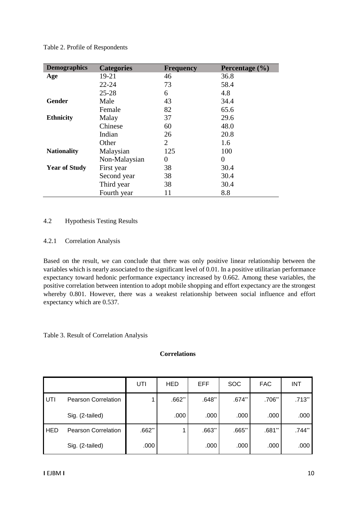Table 2. Profile of Respondents

| <b>Demographics</b>  | <b>Categories</b> | <b>Frequency</b> | Percentage (%) |
|----------------------|-------------------|------------------|----------------|
| Age                  | 19-21             | 46               | 36.8           |
|                      | $22 - 24$         | 73               | 58.4           |
|                      | $25 - 28$         | 6                | 4.8            |
| <b>Gender</b>        | Male              | 43               | 34.4           |
|                      | Female            | 82               | 65.6           |
| <b>Ethnicity</b>     | Malay             | 37               | 29.6           |
|                      | Chinese           | 60               | 48.0           |
|                      | Indian            | 26               | 20.8           |
|                      | Other             | $\overline{2}$   | 1.6            |
| <b>Nationality</b>   | Malaysian         | 125              | 100            |
|                      | Non-Malaysian     | 0                | $\theta$       |
| <b>Year of Study</b> | First year        | 38               | 30.4           |
|                      | Second year       | 38               | 30.4           |
|                      | Third year        | 38               | 30.4           |
|                      | Fourth year       | 11               | 8.8            |

# 4.2 Hypothesis Testing Results

# 4.2.1 Correlation Analysis

Based on the result, we can conclude that there was only positive linear relationship between the variables which is nearly associated to the significant level of 0.01. In a positive utilitarian performance expectancy toward hedonic performance expectancy increased by 0.662. Among these variables, the positive correlation between intention to adopt mobile shopping and effort expectancy are the strongest whereby 0.801. However, there was a weakest relationship between social influence and effort expectancy which are 0.537.

#### Table 3. Result of Correlation Analysis

# **Correlations**

|            |                            | UTI      | <b>HED</b> | <b>EFF</b> | <b>SOC</b> | <b>FAC</b> | <b>INT</b> |
|------------|----------------------------|----------|------------|------------|------------|------------|------------|
| UTI        | <b>Pearson Correlation</b> |          | $.662**$   | $.648**$   | $.674**$   | $.706**$   | $.713**$   |
|            | Sig. (2-tailed)            |          | .000       | .000       | .000       | .000       | .000       |
| <b>HED</b> | <b>Pearson Correlation</b> | $.662**$ |            | $.663**$   | $.665**$   | $.681**$   | $.744**$   |
|            | Sig. (2-tailed)            | .000     |            | .000       | .000       | .000       | .000       |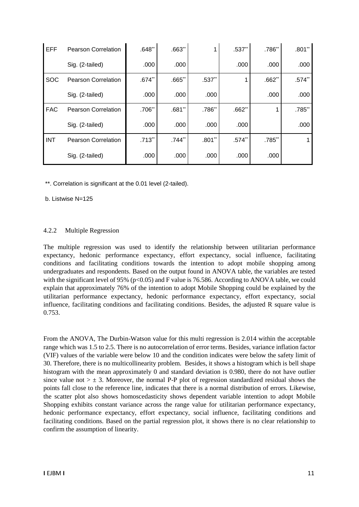| <b>EFF</b> | <b>Pearson Correlation</b> | $.648**$ | $.663$ ** |          | $.537**$ | .786**   | $.801**$ |
|------------|----------------------------|----------|-----------|----------|----------|----------|----------|
|            | Sig. (2-tailed)            | .000     | .000      |          | .000     | .000     | .000     |
| <b>SOC</b> | <b>Pearson Correlation</b> | $.674**$ | $.665$ ** | $.537**$ |          | $.662**$ | $.574**$ |
|            | Sig. (2-tailed)            | .000     | .000      | .000     |          | .000     | .000     |
| <b>FAC</b> | <b>Pearson Correlation</b> | $.706**$ | $.681**$  | .786**   | $.662**$ |          | .785**   |
|            | Sig. (2-tailed)            | .000     | .000      | .000     | .000     |          | .000     |
| <b>INT</b> | <b>Pearson Correlation</b> | $.713**$ | .744**    | $.801**$ | $.574**$ | .785**   |          |
|            | Sig. (2-tailed)            | .000     | .000      | .000     | .000     | .000     |          |

\*\*. Correlation is significant at the 0.01 level (2-tailed).

b. Listwise N=125

#### 4.2.2 Multiple Regression

The multiple regression was used to identify the relationship between utilitarian performance expectancy, hedonic performance expectancy, effort expectancy, social influence, facilitating conditions and facilitating conditions towards the intention to adopt mobile shopping among undergraduates and respondents. Based on the output found in ANOVA table, the variables are tested with the significant level of 95% ( $p<0.05$ ) and F value is 76.586. According to ANOVA table, we could explain that approximately 76% of the intention to adopt Mobile Shopping could be explained by the utilitarian performance expectancy, hedonic performance expectancy, effort expectancy, social influence, facilitating conditions and facilitating conditions. Besides, the adjusted R square value is 0.753.

From the ANOVA, The Durbin-Watson value for this multi regression is 2.014 within the acceptable range which was 1.5 to 2.5. There is no autocorrelation of error terms. Besides, variance inflation factor (VIF) values of the variable were below 10 and the condition indicates were below the safety limit of 30. Therefore, there is no multicollinearity problem. Besides, it shows a histogram which is bell shape histogram with the mean approximately 0 and standard deviation is 0.980, there do not have outlier since value not  $> \pm 3$ . Moreover, the normal P-P plot of regression standardized residual shows the points fall close to the reference line, indicates that there is a normal distribution of errors. Likewise, the scatter plot also shows homoscedasticity shows dependent variable intention to adopt Mobile Shopping exhibits constant variance across the range value for utilitarian performance expectancy, hedonic performance expectancy, effort expectancy, social influence, facilitating conditions and facilitating conditions. Based on the partial regression plot, it shows there is no clear relationship to confirm the assumption of linearity.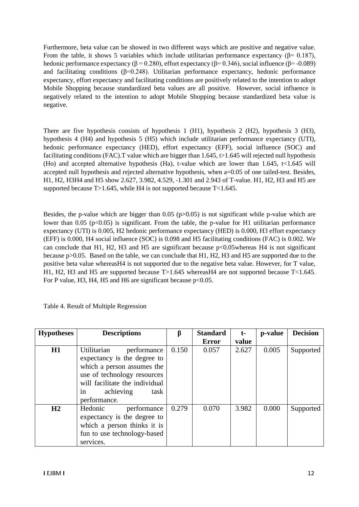Furthermore, beta value can be showed in two different ways which are positive and negative value. From the table, it shows 5 variables which include utilitarian performance expectancy ( $\beta$ = 0.187), hedonic performance expectancy ( $β = 0.280$ ), effort expectancy ( $β = 0.346$ ), social influence ( $β = -0.089$ ) and facilitating conditions ( $\beta$ =0.248). Utilitarian performance expectancy, hedonic performance expectancy, effort expectancy and facilitating conditions are positively related to the intention to adopt Mobile Shopping because standardized beta values are all positive. However, social influence is negatively related to the intention to adopt Mobile Shopping because standardized beta value is negative.

There are five hypothesis consists of hypothesis 1 (H1), hypothesis 2 (H2), hypothesis 3 (H3), hypothesis 4 (H4) and hypothesis 5 (H5) which include utilitarian performance expectancy (UTI), hedonic performance expectancy (HED), effort expectancy (EFF), social influence (SOC) and facilitating conditions (FAC). T value which are bigger than  $1.645$ ,  $t > 1.645$  will rejected null hypothesis (Ho) and accepted alternative hypothesis (Ha), t-value which are lower than 1.645, t<1.645 will accepted null hypothesis and rejected alternative hypothesis, when a=0.05 of one tailed-test. Besides, H1, H2, H3H4 and H5 show 2.627, 3.982, 4.529, -1.301 and 2.943 of T-value. H1, H2, H3 and H5 are supported because T>1.645, while H4 is not supported because T<1.645.

Besides, the p-value which are bigger than  $0.05$  (p $> 0.05$ ) is not significant while p-value which are lower than 0.05 ( $p<0.05$ ) is significant. From the table, the p-value for H1 utilitarian performance expectancy (UTI) is 0.005, H2 hedonic performance expectancy (HED) is 0.000, H3 effort expectancy (EFF) is 0.000, H4 social influence (SOC) is 0.098 and H5 facilitating conditions (FAC) is 0.002. We can conclude that H1, H2, H3 and H5 are significant because p<0.05whereas H4 is not significant because p>0.05. Based on the table, we can conclude that H1, H2, H3 and H5 are supported due to the positive beta value whereasH4 is not supported due to the negative beta value. However, for T value, H1, H2, H3 and H5 are supported because  $T>1.645$  whereasH4 are not supported because  $T<1.645$ . For P value, H3, H4, H5 and H6 are significant because  $p<0.05$ .

| <b>Hypotheses</b> | <b>Descriptions</b>                                                                                                                                                                                 | ß     | <b>Standard</b> | t-    | p-value | <b>Decision</b> |
|-------------------|-----------------------------------------------------------------------------------------------------------------------------------------------------------------------------------------------------|-------|-----------------|-------|---------|-----------------|
|                   |                                                                                                                                                                                                     |       | Error           | value |         |                 |
| H1                | Utilitarian<br>performance<br>expectancy is the degree to<br>which a person assumes the<br>use of technology resources<br>will facilitate the individual<br>achieving<br>task<br>1n<br>performance. | 0.150 | 0.057           | 2.627 | 0.005   | Supported       |
| H2                | Hedonic<br>performance<br>expectancy is the degree to<br>which a person thinks it is<br>fun to use technology-based<br>services.                                                                    | 0.279 | 0.070           | 3.982 | 0.000   | Supported       |

Table 4. Result of Multiple Regression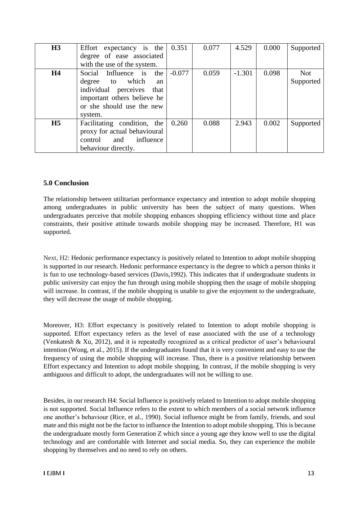| H3             | Effort expectancy is the     | 0.351    | 0.077 | 4.529    | 0.000 | Supported  |
|----------------|------------------------------|----------|-------|----------|-------|------------|
|                | degree of ease associated    |          |       |          |       |            |
|                | with the use of the system.  |          |       |          |       |            |
| H <sub>4</sub> | Social Influence is<br>the   | $-0.077$ | 0.059 | $-1.301$ | 0.098 | <b>Not</b> |
|                | degree to which<br>an        |          |       |          |       | Supported  |
|                | individual perceives<br>that |          |       |          |       |            |
|                | important others believe he  |          |       |          |       |            |
|                | or she should use the new    |          |       |          |       |            |
|                | system.                      |          |       |          |       |            |
| H <sub>5</sub> | Facilitating condition, the  | 0.260    | 0.088 | 2.943    | 0.002 | Supported  |
|                | proxy for actual behavioural |          |       |          |       |            |
|                | influence<br>control<br>and  |          |       |          |       |            |
|                | behaviour directly.          |          |       |          |       |            |

# **5.0 Conclusion**

The relationship between utilitarian performance expectancy and intention to adopt mobile shopping among undergraduates in public university has been the subject of many questions. When undergraduates perceive that mobile shopping enhances shopping efficiency without time and place constraints, their positive attitude towards mobile shopping may be increased. Therefore, H1 was supported.

Next, H2: Hedonic performance expectancy is positively related to Intention to adopt mobile shopping is supported in our research. Hedonic performance expectancy is the degree to which a person thinks it is fun to use technology-based services (Davis,1992). This indicates that if undergraduate students in public university can enjoy the fun through using mobile shopping then the usage of mobile shopping will increase. In contrast, if the mobile shopping is unable to give the enjoyment to the undergraduate, they will decrease the usage of mobile shopping.

Moreover, H3: Effort expectancy is positively related to Intention to adopt mobile shopping is supported. Effort expectancy refers as the level of ease associated with the use of a technology (Venkatesh & Xu, 2012), and it is repeatedly recognized as a critical predictor of user's behavioural intention (Wong, et al., 2015). If the undergraduates found that it is very convenient and easy to use the frequency of using the mobile shopping will increase. Thus, there is a positive relationship between Effort expectancy and Intention to adopt mobile shopping. In contrast, if the mobile shopping is very ambiguous and difficult to adopt, the undergraduates will not be willing to use.

Besides, in our research H4: Social Influence is positively related to Intention to adopt mobile shopping is not supported. Social Influence refers to the extent to which members of a social network influence one another's behaviour (Rice, et al., 1990). Social influence might be from family, friends, and soul mate and this might not be the factor to influence the Intention to adopt mobile shopping. This is because the undergraduate mostly form Generation Z which since a young age they know well to use the digital technology and are comfortable with Internet and social media. So, they can experience the mobile shopping by themselves and no need to rely on others.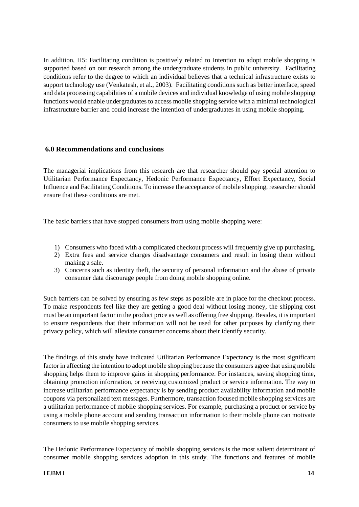In addition, H5: Facilitating condition is positively related to Intention to adopt mobile shopping is supported based on our research among the undergraduate students in public university. Facilitating conditions refer to the degree to which an individual believes that a technical infrastructure exists to support technology use (Venkatesh, et al., 2003). Facilitating conditions such as better interface, speed and data processing capabilities of a mobile devices and individual knowledge of using mobile shopping functions would enable undergraduates to access mobile shopping service with a minimal technological infrastructure barrier and could increase the intention of undergraduates in using mobile shopping.

#### **6.0 Recommendations and conclusions**

The managerial implications from this research are that researcher should pay special attention to Utilitarian Performance Expectancy, Hedonic Performance Expectancy, Effort Expectancy, Social Influence and Facilitating Conditions. To increase the acceptance of mobile shopping, researcher should ensure that these conditions are met.

The basic barriers that have stopped consumers from using mobile shopping were:

- 1) Consumers who faced with a complicated checkout process will frequently give up purchasing.
- 2) Extra fees and service charges disadvantage consumers and result in losing them without making a sale.
- 3) Concerns such as identity theft, the security of personal information and the abuse of private consumer data discourage people from doing mobile shopping online.

Such barriers can be solved by ensuring as few steps as possible are in place for the checkout process. To make respondents feel like they are getting a good deal without losing money, the shipping cost must be an important factor in the product price as well as offering free shipping. Besides, it is important to ensure respondents that their information will not be used for other purposes by clarifying their privacy policy, which will alleviate consumer concerns about their identify security.

The findings of this study have indicated Utilitarian Performance Expectancy is the most significant factor in affecting the intention to adopt mobile shopping because the consumers agree that using mobile shopping helps them to improve gains in shopping performance. For instances, saving shopping time, obtaining promotion information, or receiving customized product or service information. The way to increase utilitarian performance expectancy is by sending product availability information and mobile coupons via personalized text messages. Furthermore, transaction focused mobile shopping services are a utilitarian performance of mobile shopping services. For example, purchasing a product or service by using a mobile phone account and sending transaction information to their mobile phone can motivate consumers to use mobile shopping services.

The Hedonic Performance Expectancy of mobile shopping services is the most salient determinant of consumer mobile shopping services adoption in this study. The functions and features of mobile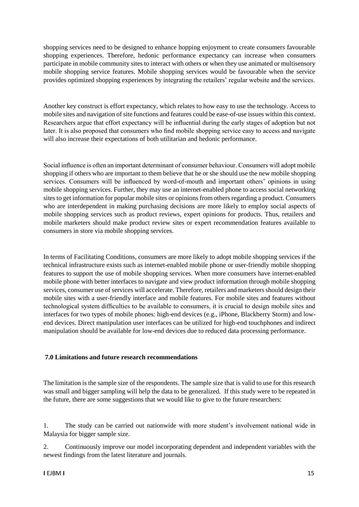shopping services need to be designed to enhance hopping enjoyment to create consumers favourable shopping experiences. Therefore, hedonic performance expectancy can increase when consumers participate in mobile community sites to interact with others or when they use animated or multisensory mobile shopping service features. Mobile shopping services would be favourable when the service provides optimized shopping experiences by integrating the retailers' regular website and the services.

Another key construct is effort expectancy, which relates to how easy to use the technology. Access to mobile sites and navigation of site functions and features could be ease-of-use issues within this context. Researchers argue that effort expectancy will be influential during the early stages of adoption but not later. It is also proposed that consumers who find mobile shopping service easy to access and navigate will also increase their expectations of both utilitarian and hedonic performance.

Social influence is often an important determinant of consumer behaviour. Consumers will adopt mobile shopping if others who are important to them believe that he or she should use the new mobile shopping services. Consumers will be influenced by word-of-mouth and important others' opinions in using mobile shopping services. Further, they may use an internet-enabled phone to access social networking sites to get information for popular mobile sites or opinions from others regarding a product. Consumers who are interdependent in making purchasing decisions are more likely to employ social aspects of mobile shopping services such as product reviews, expert opinions for products. Thus, retailers and mobile marketers should make product review sites or expert recommendation features available to consumers in store via mobile shopping services.

In terms of Facilitating Conditions, consumers are more likely to adopt mobile shopping services if the technical infrastructure exists such as internet-enabled mobile phone or user-friendly mobile shopping features to support the use of mobile shopping services. When more consumers have internet-enabled mobile phone with better interfaces to navigate and view product information through mobile shopping services, consumer use of services will accelerate. Therefore, retailers and marketers should design their mobile sites with a user-friendly interface and mobile features. For mobile sites and features without technological system difficulties to be available to consumers, it is crucial to design mobile sites and interfaces for two types of mobile phones: high-end devices (e.g., iPhone, Blackberry Storm) and lowend devices. Direct manipulation user interfaces can be utilized for high-end touchphones and indirect manipulation should be available for low-end devices due to reduced data processing performance.

# **7.0 Limitations and future research recommendations**

The limitation is the sample size of the respondents. The sample size that is valid to use for this research was small and bigger sampling will help the data to be generalized. If this study were to be repeated in the future, there are some suggestions that we would like to give to the future researchers:

1. The study can be carried out nationwide with more student's involvement national wide in Malaysia for bigger sample size.

2. Continuously improve our model incorporating dependent and independent variables with the newest findings from the latest literature and journals.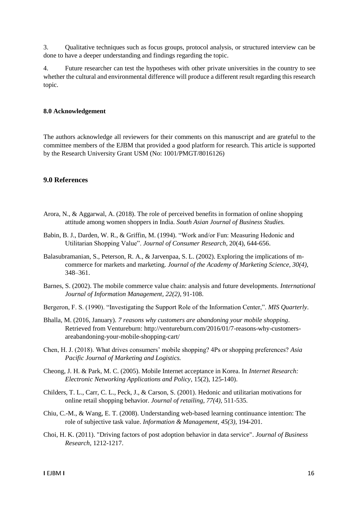3. Qualitative techniques such as focus groups, protocol analysis, or structured interview can be done to have a deeper understanding and findings regarding the topic.

4. Future researcher can test the hypotheses with other private universities in the country to see whether the cultural and environmental difference will produce a different result regarding this research topic.

#### **8.0 Acknowledgement**

The authors acknowledge all reviewers for their comments on this manuscript and are grateful to the committee members of the EJBM that provided a good platform for research. This article is supported by the Research University Grant USM (No: 1001/PMGT/8016126)

#### **9.0 References**

- Arora, N., & Aggarwal, A. (2018). The role of perceived benefits in formation of online shopping attitude among women shoppers in India. *South Asian Journal of Business Studies.*
- Babin, B. J., Darden, W. R., & Griffin, M. (1994). "Work and/or Fun: Measuring Hedonic and Utilitarian Shopping Value". *Journal of Consumer Research*, 20(4), 644-656.
- Balasubramanian, S., Peterson, R. A., & Jarvenpaa, S. L. (2002). Exploring the implications of mcommerce for markets and marketing. *Journal of the Academy of Marketing Science, 30(4)*, 348–361.
- Barnes, S. (2002). The mobile commerce value chain: analysis and future developments. *International Journal of Information Management, 22(2),* 91-108.
- Bergeron, F. S. (1990). "Investigating the Support Role of the Information Center,". *MIS Quarterly*.
- Bhalla, M. (2016, January). *7 reasons why customers are abandoning your mobile shopping*. Retrieved from Ventureburn: http://ventureburn.com/2016/01/7-reasons-why-customersareabandoning-your-mobile-shopping-cart/
- Chen, H. J. (2018). What drives consumers' mobile shopping? 4Ps or shopping preferences? *Asia Pacific Journal of Marketing and Logistics.*
- Cheong, J. H. & Park, M. C. (2005). Mobile Internet acceptance in Korea. In *Internet Research: Electronic Networking Applications and Policy*, 15(2), 125-140).
- Childers, T. L., Carr, C. L., Peck, J., & Carson, S. (2001). Hedonic and utilitarian motivations for online retail shopping behavior. *Journal of retailing, 77(4)*, 511-535.
- Chiu, C.-M., & Wang, E. T. (2008). Understanding web-based learning continuance intention: The role of subjective task value. *Information & Management, 45(3)*, 194-201.
- Choi, H. K. (2011). "Driving factors of post adoption behavior in data service". *Journal of Business Research*, 1212-1217.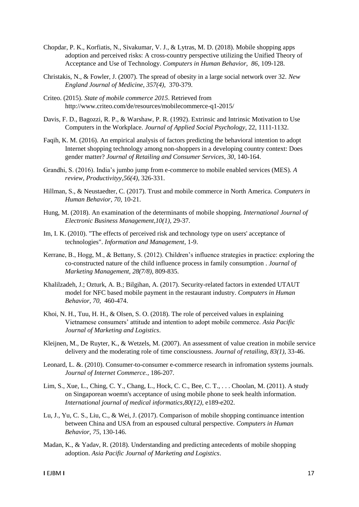- Chopdar, P. K., Korfiatis, N., Sivakumar, V. J., & Lytras, M. D. (2018). Mobile shopping apps adoption and perceived risks: A cross-country perspective utilizing the Unified Theory of Acceptance and Use of Technology. *Computers in Human Behavior, 86*, 109-128.
- Christakis, N., & Fowler, J. (2007). The spread of obesity in a large social network over 32. *New England Journal of Medicine, 357(4),* 370-379.
- Criteo. (2015). *State of mobile commerce 2015*. Retrieved from http://www.criteo.com/de/resources/mobilecommerce-q1-2015/
- Davis, F. D., Bagozzi, R. P., & Warshaw, P. R. (1992). Extrinsic and Intrinsic Motivation to Use Computers in the Workplace. *Journal of Applied Social Psychology*, 22, 1111-1132.
- Faqih, K. M. (2016). An empirical analysis of factors predicting the behavioral intention to adopt Internet shopping technology among non-shoppers in a developing country context: Does gender matter? *Journal of Retailing and Consumer Services, 30*, 140-164.
- Grandhi, S. (2016). India's jumbo jump from e-commerce to mobile enabled services (MES). *A review, Productivityy,56(4)*, 326-331.
- Hillman, S., & Neustaedter, C. (2017). Trust and mobile commerce in North America. *Computers in Human Behavior, 70*, 10-21.
- Hung, M. (2018). An examination of the determinants of mobile shopping. *International Journal of Electronic Business Management,10(1),* 29-37.
- Im, I. K. (2010). "The effects of perceived risk and technology type on users' acceptance of technologies". *Information and Management*, 1-9.
- Kerrane, B., Hogg, M., & Bettany, S. (2012). Children's influence strategies in practice: exploring the co-constructed nature of the child influence process in family consumption . *Journal of Marketing Management, 28(7/8),* 809-835.
- Khalilzadeh, J.; Ozturk, A. B.; Bilgihan, A. (2017). Security-related factors in extended UTAUT model for NFC based mobile payment in the restaurant industry. *Computers in Human Behavior, 70,* 460-474.
- Khoi, N. H., Tuu, H. H., & Olsen, S. O. (2018). The role of perceived values in explaining Vietnamese consumers' attitude and intention to adopt mobile commerce. *Asia Pacific Journal of Marketing and Logistics*.
- Kleijnen, M., De Ruyter, K., & Wetzels, M. (2007). An assessment of value creation in mobile service delivery and the moderating role of time consciousness. *Journal of retailing, 83(1)*, 33-46.
- Leonard, L. &. (2010). Consumer-to-consumer e-commerce research in infromation systems journals. *Journal of Internet Commerce.*, 186-207.
- Lim, S., Xue, L., Ching, C. Y., Chang, L., Hock, C. C., Bee, C. T., . . . Choolan, M. (2011). A study on Singaporean woemn's acceptance of using mobile phone to seek health information. *International journal of medical informatics,80(12)*, e189-e202.
- Lu, J., Yu, C. S., Liu, C., & Wei, J. (2017). Comparison of mobile shopping continuance intention between China and USA from an espoused cultural perspective. *Computers in Human Behavior, 75*, 130-146.
- Madan, K., & Yadav, R. (2018). Understanding and predicting antecedents of mobile shopping adoption. *Asia Pacific Journal of Marketing and Logistics*.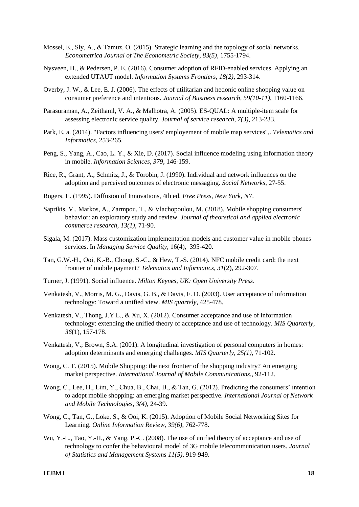- Mossel, E., Sly, A., & Tamuz, O. (2015). Strategic learning and the topology of social networks. *Econometrica Journal of The Econometric Society, 83(5)*, 1755-1794.
- Nysveen, H., & Pedersen, P. E. (2016). Consumer adoption of RFID-enabled services. Applying an extended UTAUT model. *Information Systems Frontiers, 18(2)*, 293-314.
- Overby, J. W., & Lee, E. J. (2006). The effects of utilitarian and hedonic online shopping value on consumer preference and intentions. *Journal of Business research, 59(10-11)*, 1160-1166.
- Parasuraman, A., Zeithaml, V. A., & Malhotra, A. (2005). ES-QUAL: A multiple-item scale for assessing electronic service quality. *Journal of service research, 7(3)*, 213-233.
- Park, E. a. (2014). "Factors influencing users' employement of mobile map services",. *Telematics and Informatics*, 253-265.
- Peng, S., Yang, A., Cao, L. Y., & Xie, D. (2017). Social influence modeling using information theory in mobile. *Information Sciences, 379*, 146-159.
- Rice, R., Grant, A., Schmitz, J., & Torobin, J. (1990). Individual and network influences on the adoption and perceived outcomes of electronic messaging. *Social Networks*, 27-55.
- Rogers, E. (1995). Diffusion of Innovations, 4th ed. *Free Press, New York, NY*.
- Saprikis, V., Markos, A., Zarmpou, T., & Vlachopoulou, M. (2018). Mobile shopping consumers' behavior: an exploratory study and review. *Journal of theoretical and applied electronic commerce research, 13(1)*, 71-90.
- Sigala, M. (2017). Mass customization implementation models and customer value in mobile phones services. In *Managing Service Quality*, 16(4), 395-420.
- Tan, G.W.-H., Ooi, K.-B., Chong, S.-C., & Hew, T.-S. (2014). NFC mobile credit card: the next frontier of mobile payment? *Telematics and Informatics*, *31*(2), 292-307.
- Turner, J. (1991). Social influence. *Milton Keynes, UK: Open University Press*.
- Venkatesh, V., Morris, M. G., Davis, G. B., & Davis, F. D. (2003). User acceptance of information technology: Toward a unified view. *MIS quartely*, 425-478.
- Venkatesh, V., Thong, J.Y.L., & Xu, X. (2012). Consumer acceptance and use of information technology: extending the unified theory of acceptance and use of technology. *MIS Quarterly*, *36*(1), 157-178.
- Venkatesh, V.; Brown, S.A. (2001). A longitudinal investigation of personal computers in homes: adoption determinants and emerging challenges. *MIS Quarterly, 25(1)*, 71-102.
- Wong, C. T. (2015). Mobile Shopping: the next frontier of the shopping industry? An emerging market perspective. *International Journal of Mobile Communications.*, 92-112.
- Wong, C., Lee, H., Lim, Y., Chua, B., Chai, B., & Tan, G. (2012). Predicting the consumers' intention to adopt mobile shopping: an emerging market perspective. *International Journal of Network and Mobile Technologies, 3(4)*, 24-39.
- Wong, C., Tan, G., Loke, S., & Ooi, K. (2015). Adoption of Mobile Social Networking Sites for Learning. *Online Information Review, 39(6)*, 762-778.
- Wu, Y.-L., Tao, Y.-H., & Yang, P.-C. (2008). The use of unified theory of acceptance and use of technology to confer the behavioural model of 3G mobile telecommunication users. *Journal of Statistics and Management Systems 11(5)*, 919-949.